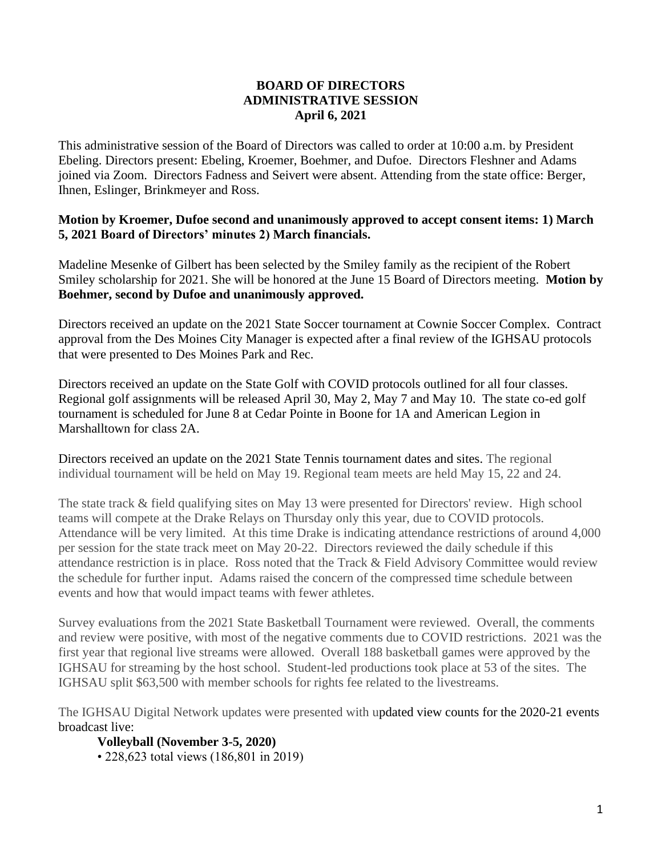## **BOARD OF DIRECTORS ADMINISTRATIVE SESSION April 6, 2021**

This administrative session of the Board of Directors was called to order at 10:00 a.m. by President Ebeling. Directors present: Ebeling, Kroemer, Boehmer, and Dufoe. Directors Fleshner and Adams joined via Zoom. Directors Fadness and Seivert were absent. Attending from the state office: Berger, Ihnen, Eslinger, Brinkmeyer and Ross.

## **Motion by Kroemer, Dufoe second and unanimously approved to accept consent items: 1) March 5, 2021 Board of Directors' minutes 2) March financials.**

Madeline Mesenke of Gilbert has been selected by the Smiley family as the recipient of the Robert Smiley scholarship for 2021. She will be honored at the June 15 Board of Directors meeting. **Motion by Boehmer, second by Dufoe and unanimously approved.**

Directors received an update on the 2021 State Soccer tournament at Cownie Soccer Complex. Contract approval from the Des Moines City Manager is expected after a final review of the IGHSAU protocols that were presented to Des Moines Park and Rec.

Directors received an update on the State Golf with COVID protocols outlined for all four classes. Regional golf assignments will be released April 30, May 2, May 7 and May 10. The state co-ed golf tournament is scheduled for June 8 at Cedar Pointe in Boone for 1A and American Legion in Marshalltown for class 2A.

Directors received an update on the 2021 State Tennis tournament dates and sites. The regional individual tournament will be held on May 19. Regional team meets are held May 15, 22 and 24.

The state track & field qualifying sites on May 13 were presented for Directors' review. High school teams will compete at the Drake Relays on Thursday only this year, due to COVID protocols. Attendance will be very limited. At this time Drake is indicating attendance restrictions of around 4,000 per session for the state track meet on May 20-22. Directors reviewed the daily schedule if this attendance restriction is in place. Ross noted that the Track & Field Advisory Committee would review the schedule for further input. Adams raised the concern of the compressed time schedule between events and how that would impact teams with fewer athletes.

Survey evaluations from the 2021 State Basketball Tournament were reviewed. Overall, the comments and review were positive, with most of the negative comments due to COVID restrictions. 2021 was the first year that regional live streams were allowed. Overall 188 basketball games were approved by the IGHSAU for streaming by the host school. Student-led productions took place at 53 of the sites. The IGHSAU split \$63,500 with member schools for rights fee related to the livestreams.

The IGHSAU Digital Network updates were presented with updated view counts for the 2020-21 events broadcast live:

**Volleyball (November 3-5, 2020)** 

• 228,623 total views (186,801 in 2019)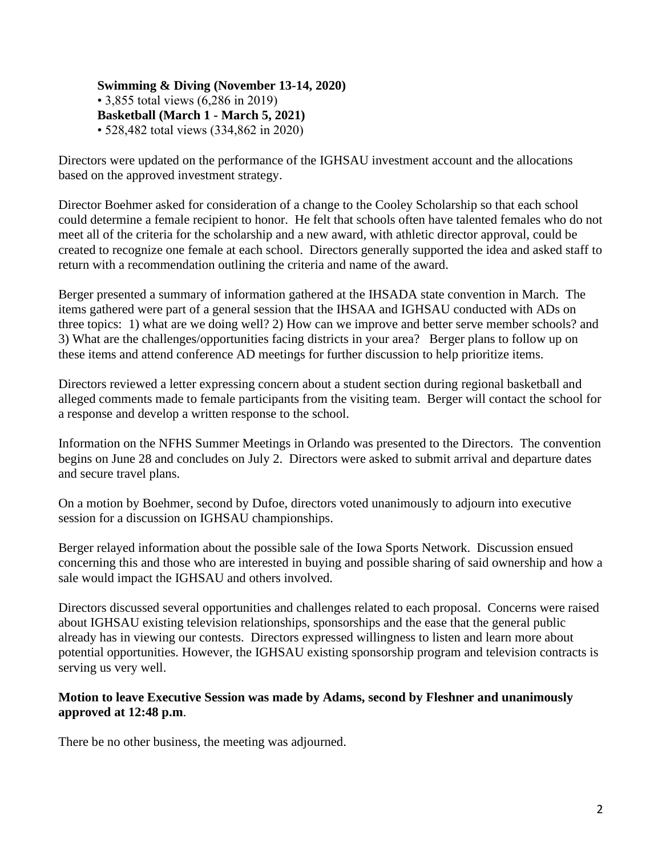**Swimming & Diving (November 13-14, 2020)**  • 3,855 total views (6,286 in 2019) **Basketball (March 1 - March 5, 2021)**  • 528,482 total views (334,862 in 2020)

Directors were updated on the performance of the IGHSAU investment account and the allocations based on the approved investment strategy.

Director Boehmer asked for consideration of a change to the Cooley Scholarship so that each school could determine a female recipient to honor. He felt that schools often have talented females who do not meet all of the criteria for the scholarship and a new award, with athletic director approval, could be created to recognize one female at each school. Directors generally supported the idea and asked staff to return with a recommendation outlining the criteria and name of the award.

Berger presented a summary of information gathered at the IHSADA state convention in March. The items gathered were part of a general session that the IHSAA and IGHSAU conducted with ADs on three topics: 1) what are we doing well? 2) How can we improve and better serve member schools? and 3) What are the challenges/opportunities facing districts in your area? Berger plans to follow up on these items and attend conference AD meetings for further discussion to help prioritize items.

Directors reviewed a letter expressing concern about a student section during regional basketball and alleged comments made to female participants from the visiting team. Berger will contact the school for a response and develop a written response to the school.

Information on the NFHS Summer Meetings in Orlando was presented to the Directors. The convention begins on June 28 and concludes on July 2. Directors were asked to submit arrival and departure dates and secure travel plans.

On a motion by Boehmer, second by Dufoe, directors voted unanimously to adjourn into executive session for a discussion on IGHSAU championships.

Berger relayed information about the possible sale of the Iowa Sports Network. Discussion ensued concerning this and those who are interested in buying and possible sharing of said ownership and how a sale would impact the IGHSAU and others involved.

Directors discussed several opportunities and challenges related to each proposal. Concerns were raised about IGHSAU existing television relationships, sponsorships and the ease that the general public already has in viewing our contests. Directors expressed willingness to listen and learn more about potential opportunities. However, the IGHSAU existing sponsorship program and television contracts is serving us very well.

## **Motion to leave Executive Session was made by Adams, second by Fleshner and unanimously approved at 12:48 p.m**.

There be no other business, the meeting was adjourned.